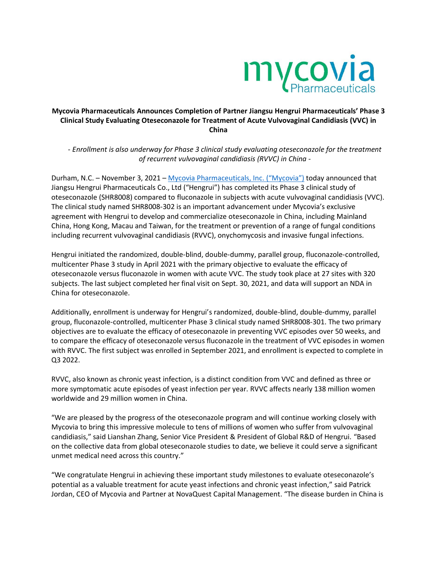

# **Mycovia Pharmaceuticals Announces Completion of Partner Jiangsu Hengrui Pharmaceuticals' Phase 3 Clinical Study Evaluating Oteseconazole for Treatment of Acute Vulvovaginal Candidiasis (VVC) in China**

*- Enrollment is also underway for Phase 3 clinical study evaluating oteseconazole for the treatment of recurrent vulvovaginal candidiasis (RVVC) in China -*

Durham, N.C. – November 3, 2021 – [Mycovia Pharmaceuticals, Inc.](https://www.mycovia.com/) ("Mycovia") today announced that Jiangsu Hengrui Pharmaceuticals Co., Ltd ("Hengrui") has completed its Phase 3 clinical study of oteseconazole (SHR8008) compared to fluconazole in subjects with acute vulvovaginal candidiasis (VVC). The clinical study named SHR8008-302 is an important advancement under Mycovia's exclusive agreement with Hengrui to develop and commercialize oteseconazole in China, including Mainland China, Hong Kong, Macau and Taiwan, for the treatment or prevention of a range of fungal conditions including recurrent vulvovaginal candidiasis (RVVC), onychomycosis and invasive fungal infections.

Hengrui initiated the randomized, double-blind, double-dummy, parallel group, fluconazole-controlled, multicenter Phase 3 study in April 2021 with the primary objective to evaluate the efficacy of oteseconazole versus fluconazole in women with acute VVC. The study took place at 27 sites with 320 subjects. The last subject completed her final visit on Sept. 30, 2021, and data will support an NDA in China for oteseconazole.

Additionally, enrollment is underway for Hengrui's randomized, double-blind, double-dummy, parallel group, fluconazole-controlled, multicenter Phase 3 clinical study named SHR8008-301. The two primary objectives are to evaluate the efficacy of oteseconazole in preventing VVC episodes over 50 weeks, and to compare the efficacy of oteseconazole versus fluconazole in the treatment of VVC episodes in women with RVVC. The first subject was enrolled in September 2021, and enrollment is expected to complete in Q3 2022.

RVVC, also known as chronic yeast infection, is a distinct condition from VVC and defined as three or more symptomatic acute episodes of yeast infection per year. RVVC affects nearly 138 million women worldwide and 29 million women in China.

"We are pleased by the progress of the oteseconazole program and will continue working closely with Mycovia to bring this impressive molecule to tens of millions of women who suffer from vulvovaginal candidiasis," said Lianshan Zhang, Senior Vice President & President of Global R&D of Hengrui. "Based on the collective data from global oteseconazole studies to date, we believe it could serve a significant unmet medical need across this country."

"We congratulate Hengrui in achieving these important study milestones to evaluate oteseconazole's potential as a valuable treatment for acute yeast infections and chronic yeast infection," said Patrick Jordan, CEO of Mycovia and Partner at NovaQuest Capital Management. "The disease burden in China is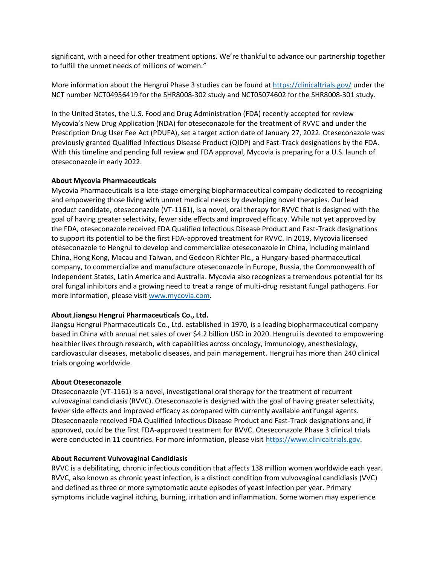significant, with a need for other treatment options. We're thankful to advance our partnership together to fulfill the unmet needs of millions of women."

More information about the Hengrui Phase 3 studies can be found at<https://clinicaltrials.gov/> under the NCT number NCT04956419 for the SHR8008-302 study and NCT05074602 for the SHR8008-301 study.

In the United States, the U.S. Food and Drug Administration (FDA) recently accepted for review Mycovia's New Drug Application (NDA) for oteseconazole for the treatment of RVVC and under the Prescription Drug User Fee Act (PDUFA), set a target action date of January 27, 2022. Oteseconazole was previously granted Qualified Infectious Disease Product (QIDP) and Fast-Track designations by the FDA. With this timeline and pending full review and FDA approval, Mycovia is preparing for a U.S. launch of oteseconazole in early 2022.

## **About Mycovia Pharmaceuticals**

Mycovia Pharmaceuticals is a late-stage emerging biopharmaceutical company dedicated to recognizing and empowering those living with unmet medical needs by developing novel therapies. Our lead product candidate, oteseconazole (VT-1161), is a novel, oral therapy for RVVC that is designed with the goal of having greater selectivity, fewer side effects and improved efficacy. While not yet approved by the FDA, oteseconazole received FDA Qualified Infectious Disease Product and Fast-Track designations to support its potential to be the first FDA-approved treatment for RVVC. In 2019, Mycovia licensed oteseconazole to Hengrui to develop and commercialize oteseconazole in China, including mainland China, Hong Kong, Macau and Taiwan, and Gedeon Richter Plc., a Hungary-based pharmaceutical company, to commercialize and manufacture oteseconazole in Europe, Russia, the Commonwealth of Independent States, Latin America and Australia. Mycovia also recognizes a tremendous potential for its oral fungal inhibitors and a growing need to treat a range of multi-drug resistant fungal pathogens. For more information, please visit [www.mycovia.com.](http://www.mycovia.com/)

## **About Jiangsu Hengrui Pharmaceuticals Co., Ltd.**

Jiangsu Hengrui Pharmaceuticals Co., Ltd. established in 1970, is a leading biopharmaceutical company based in China with annual net sales of over \$4.2 billion USD in 2020. Hengrui is devoted to empowering healthier lives through research, with capabilities across oncology, immunology, anesthesiology, cardiovascular diseases, metabolic diseases, and pain management. Hengrui has more than 240 clinical trials ongoing worldwide.

## **About Oteseconazole**

Oteseconazole (VT-1161) is a novel, investigational oral therapy for the treatment of recurrent vulvovaginal candidiasis (RVVC). Oteseconazole is designed with the goal of having greater selectivity, fewer side effects and improved efficacy as compared with currently available antifungal agents. Oteseconazole received FDA Qualified Infectious Disease Product and Fast-Track designations and, if approved, could be the first FDA-approved treatment for RVVC. Oteseconazole Phase 3 clinical trials were conducted in 11 countries. For more information, please visit [https://www.clinicaltrials.gov.](https://www.clinicaltrials.gov/)

## **About Recurrent Vulvovaginal Candidiasis**

RVVC is a debilitating, chronic infectious condition that affects 138 million women worldwide each year. RVVC, also known as chronic yeast infection, is a distinct condition from vulvovaginal candidiasis (VVC) and defined as three or more symptomatic acute episodes of yeast infection per year. Primary symptoms include vaginal itching, burning, irritation and inflammation. Some women may experience